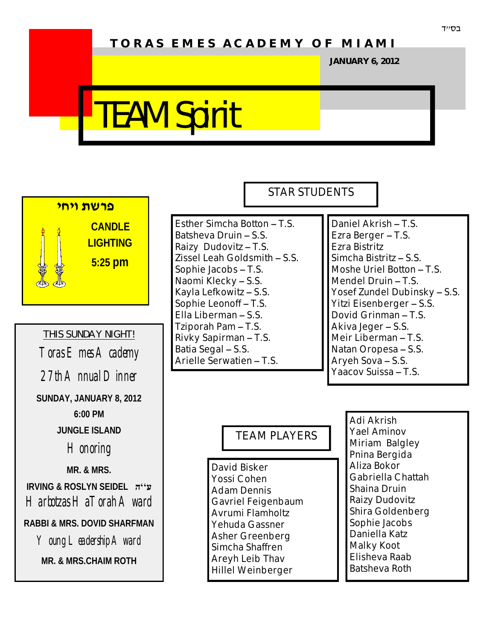### TORAS EMES ACADEMY OF MIAMI

**JANUARY 6, 2012** 

# **TEAM Spirit**



THIS SUNDAY NIGHT! Toras  $E$  mes  $A$  cademy 27th A nnual Dinner SUNDAY, JANUARY 8, 2012  $6:00 \text{ PM}$ JUNGLE ISLAND Honoring MR & MRS  $IRVING & ROSI YN SEIDFI$  $H$ arbotzas  $H$ a $T$ orah  $A$  ward RABBL& MRS DOVID SHARFMAN  $\forall$  oung Leadership A ward MR. & MRS.CHAIM ROTH

#### Esther Simcha Botton - T.S. Batsheva Druin - S.S. Raizy Dudovitz - T.S. Zissel Leah Goldsmith - S.S. Sophie Jacobs - T.S. Naomi Klecky - S.S. Kayla Lefkowitz - S.S. Sophie Leonoff-T.S. Ella Liberman - S.S. Tziporah Pam - T.S. Rivky Sapirman - T.S. Batia Segal - S.S. Arielle Serwatien - T.S.

#### **STAR STUDENTS**

Daniel Akrish - T.S. Ezra Berger - T.S. Ezra Bistritz Simcha Bistritz - S.S. Moshe Uriel Botton - T.S. Mendel Druin - T.S. Yosef Zundel Dubinsky - S.S. Yitzi Eisenberger - S.S. Dovid Grinman-T.S. Akiva Jeger - S.S. Meir Liberman - T.S. Natan Oropesa - S.S. Aryeh Sova - S.S. Yaacov Suissa – T.S.

**TEAM PLAYERS** 

David Bisker Yossi Cohen **Adam Dennis** Gavriel Feigenbaum Avrumi Flamholtz Yehuda Gassner Asher Greenberg Simcha Shaffren Areyh Leib Thav **Hillel Weinberger** 

Adi Akrish Yael Aminov Miriam Balgley Pnina Bergida Aliza Bokor Gabriella Chattah Shaina Druin Raizy Dudovitz Shira Goldenberg Sophie Jacobs Daniella Katz Malky Koot Elisheva Raab Batsheva Roth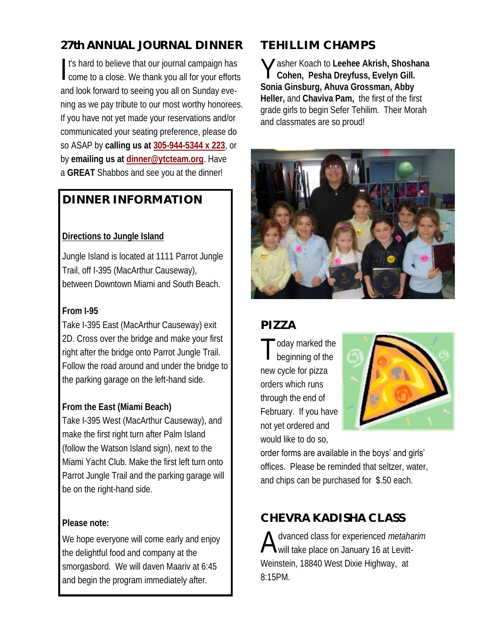### **27th ANNUAL JOURNAL DINNER**

It's hard to believe that our journal campaign has<br>come to a close. We thank you all for your efforts t's hard to believe that our journal campaign has and look forward to seeing you all on Sunday evening as we pay tribute to our most worthy honorees. If you have not yet made your reservations and/or communicated your seating preference, please do so ASAP by **calling us at [305-944-5344 x 223](tel:305-944-5344%20x%20223)**, or by **emailing us at [dinner@ytcteam.org](mailto:dinner@ytcteam.org)**. Have a **GREAT** Shabbos and see you at the dinner!

### **DINNER INFORMATION**

#### **Directions to Jungle Island**

Jungle Island is located at 1111 Parrot Jungle Trail, off I-395 (MacArthur Causeway), between Downtown Miami and South Beach.

#### **From I-95**

Take I-395 East (MacArthur Causeway) exit 2D. Cross over the bridge and make your first right after the bridge onto Parrot Jungle Trail. Follow the road around and under the bridge to the parking garage on the left-hand side.

#### **From the East (Miami Beach)**

Take I-395 West (MacArthur Causeway), and make the first right turn after Palm Island (follow the Watson Island sign), next to the Miami Yacht Club. Make the first left turn onto Parrot Jungle Trail and the parking garage will be on the right-hand side.

#### **Please note:**

We hope everyone will come early and enjoy the delightful food and company at the smorgasbord. We will daven Maariv at 6:45 and begin the program immediately after.

### **TEHILLIM CHAMPS**

Y asher Koach to **Leehee Akrish, Shoshana Cohen, Pesha Dreyfuss, Evelyn Gill. Sonia Ginsburg, Ahuva Grossman, Abby Heller,** and **Chaviva Pam,** the first of the first grade girls to begin Sefer Tehilim. Their Morah and classmates are so proud!



### **PIZZA**

T oday marked the beginning of the new cycle for pizza orders which runs through the end of February. If you have not yet ordered and would like to do so,



order forms are available in the boys' and girls' offices. Please be reminded that seltzer, water, and chips can be purchased for \$.50 each.

### **CHEVRA KADISHA CLASS**

A dvanced class for experienced *metaharim*  will take place on January 16 at Levitt-Weinstein, 18840 West Dixie Highway, at 8:15PM.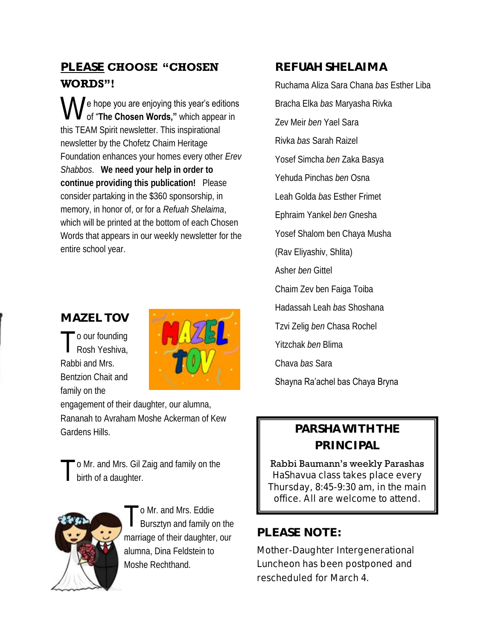#### **PLEASE CHOOSE "CHOSEN WORDS"!**

We hope you are enjoying this year's editions<br>of "The Chosen Words," which appear in of "**The Chosen Words,"** which appear in this TEAM Spirit newsletter. This inspirational newsletter by the Chofetz Chaim Heritage Foundation enhances your homes every other *Erev Shabbos*. **We need your help in order to continue providing this publication!** Please consider partaking in the \$360 sponsorship, in memory, in honor of, or for a *Refuah Shelaima*, which will be printed at the bottom of each Chosen Words that appears in our weekly newsletter for the entire school year.

#### **MAZEL TOV**

To our founding<br>
Rosh Yeshiva, Rosh Yeshiva, Rabbi and Mrs. Bentzion Chait and family on the



engagement of their daughter, our alumna, Rananah to Avraham Moshe Ackerman of Kew Gardens Hills.

T o Mr. and Mrs. Gil Zaig and family on the birth of a daughter.



T o Mr. and Mrs. Eddie Bursztyn and family on the marriage of their daughter, our alumna, Dina Feldstein to Moshe Rechthand.

#### **REFUAH SHELAIMA**

Ruchama Aliza Sara Chana *bas* Esther Liba Bracha Elka *bas* Maryasha Rivka Zev Meir *ben* Yael Sara Rivka *bas* Sarah Raizel Yosef Simcha *ben* Zaka Basya Yehuda Pinchas *ben* Osna Leah Golda *bas* Esther Frimet Ephraim Yankel *ben* Gnesha Yosef Shalom ben Chaya Musha (Rav Eliyashiv, Shlita) Asher *ben* Gittel Chaim Zev ben Faiga Toiba Hadassah Leah *bas* Shoshana Tzvi Zelig *ben* Chasa Rochel Yitzchak *ben* Blima Chava *bas* Sara Shayna Ra'achel bas Chaya Bryna

### **PARSHA WITH THE PRINCIPAL**

Rabbi Baumann's weekly Parashas HaShavua class takes place every Thursday, 8:45-9:30 am, in the main office. All are welcome to attend.

#### **PLEASE NOTE:**

Mother-Daughter Intergenerational Luncheon has been postponed and rescheduled for March 4.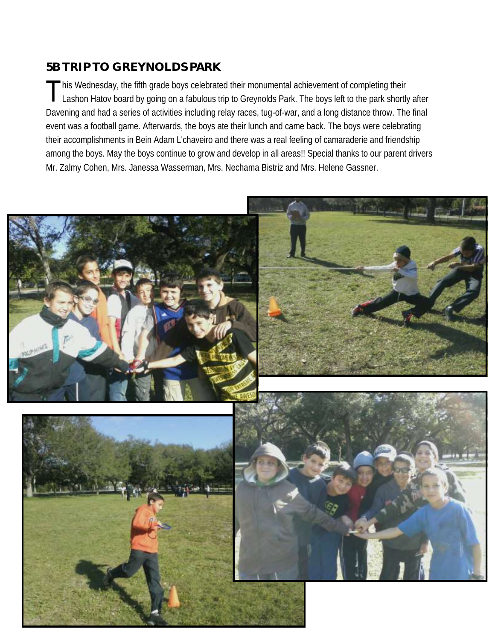#### **5B TRIP TO GREYNOLDS PARK**

This Wednesday, the fifth grade boys celebrated their monumental achievement of completing their<br>Lashon Hatov board by going on a fabulous trip to Greynolds Park. The boys left to the park shortly Lashon Hatov board by going on a fabulous trip to Greynolds Park. The boys left to the park shortly after Davening and had a series of activities including relay races, tug-of-war, and a long distance throw. The final event was a football game. Afterwards, the boys ate their lunch and came back. The boys were celebrating their accomplishments in Bein Adam L'chaveiro and there was a real feeling of camaraderie and friendship among the boys. May the boys continue to grow and develop in all areas!! Special thanks to our parent drivers Mr. Zalmy Cohen, Mrs. Janessa Wasserman, Mrs. Nechama Bistriz and Mrs. Helene Gassner.

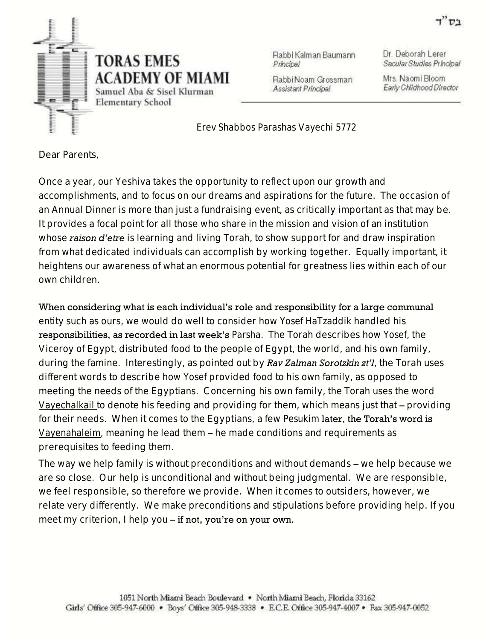

Rabbi Kalman Baumann Principal

Dr. Deborah Lerer Secular Studies Principal

Rabbi Noam Grossman Assistant Principal

Mrs. Naomi Bloom Early Childhood Director

*Erev Shabbos Parashas Vayechi 5772*

Dear Parents,

Once a year, our Yeshiva takes the opportunity to reflect upon our growth and accomplishments, and to focus on our dreams and aspirations for the future. The occasion of an Annual Dinner is more than just a fundraising event, as critically important as that may be. It provides a focal point for all those who share in the mission and vision of an institution whose *raison d'etre* is learning and living Torah, to show support for and draw inspiration from what dedicated individuals can accomplish by working together. Equally important, it heightens our awareness of what an enormous potential for greatness lies within each of our own children.

#### When considering what is each individual's role and responsibility for a large communal

entity such as ours, we would do well to consider how *Yosef HaTzaddik* handled his responsibilities, as recorded in last week's *Parsha*. The Torah describes how *Yosef*, the Viceroy of Egypt, distributed food to the people of Egypt, the world, and his own family, during the famine. Interestingly, as pointed out by *Rav Zalman Sorotzkin zt'l*, the Torah uses different words to describe how *Yosef* provided food to his own family, as opposed to meeting the needs of the Egyptians. Concerning his own family, the Torah uses the word *Vayechalkail* to denote his feeding and providing for them, which means just that – providing for their needs. When it comes to the Egyptians, a few *Pesukim* later, the Torah's word is *Vayenahaleim*, meaning he lead them – he made conditions and requirements as prerequisites to feeding them.

The way we help family is without preconditions and without demands – we help because we are so close. Our help is unconditional and without being judgmental. We are responsible, we feel responsible, so therefore we provide. When it comes to outsiders, however, we relate very differently. We make preconditions and stipulations before providing help. If you meet my criterion, I help you – if not, you're on your own.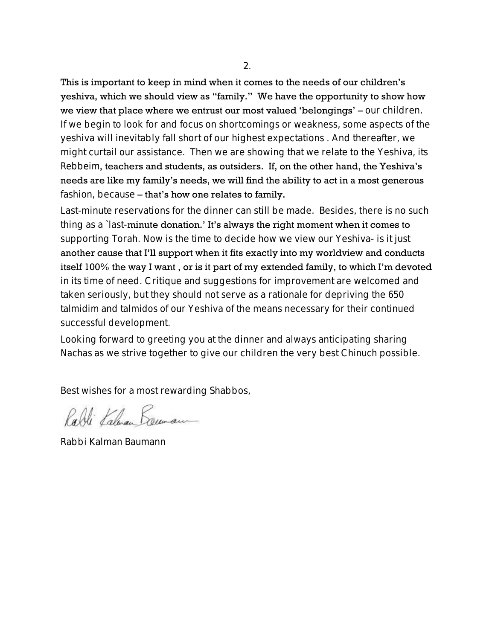This is important to keep in mind when it comes to the needs of our children's yeshiva, which we should view as "family." We have the opportunity to show how we view that place where we entrust our most valued 'belongings' – our children. If we begin to look for and focus on shortcomings or weakness, some aspects of the yeshiva will inevitably fall short of our highest expectations . And thereafter, we might curtail our assistance. Then we are showing that we relate to the Yeshiva, its *Rebbeim*, teachers and students, as outsiders. If, on the other hand, the Yeshiva's needs are like my family's needs, we will find the ability to act in a most generous fashion, because – that's how one relates to family.

Last-minute reservations for the dinner can still be made. Besides, there is no such thing as a `last-minute donation.' It's always the right moment when it comes to supporting Torah. Now is the time to decide how we view our Yeshiva- is it just another cause that I'll support when it fits exactly into my worldview and conducts itself 100% the way I want , or is it part of my extended family, to which I'm devoted in its time of need. Critique and suggestions for improvement are welcomed and taken seriously, but they should not serve as a rationale for depriving the 650 *talmidim* and *talmidos* of our Yeshiva of the means necessary for their continued successful development.

Looking forward to greeting you at the dinner and always anticipating sharing *Nachas* as we strive together to give our children the very best *Chinuch* possible.

Best wishes for a most rewarding Shabbos,

Rabli Kaluan Benam

Rabbi Kalman Baumann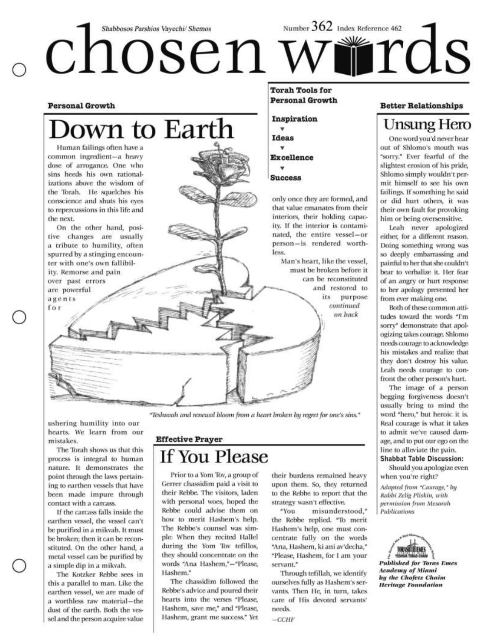### Number  $362$  Index Reference 462 Shabbosos Parshios Vayechi/ Shemos ind<sub>S</sub> chosen v

#### **Personal Growth**

# own to Earth

Human failings often have a common ingredient-a heavy dose of arrogance. One who sins heeds his own rationalizations above the wisdom of the Torah. He squelches his conscience and shuts his eves to repercussions in this life and the next.

On the other hand, positive changes are usually a tribute to humility, often spurred by a stinging encounter with one's own fallibil-

ity. Remorse and pain over past errors are powerful agents for

**Torah Tools for Personal Growth** 

Inspiration **Ideas** v **Excellence** ٠ **Success** 

only once they are formed, and that value emanates from their interiors, their holding capacity. If the interior is contaminated, the entire vessel-or person-is rendered worthless.

Man's heart, like the vessel, must be broken before it can be reconstituted and restored to its purpose continued

on back

**Better Relationships** 

### Unsung Hero

One word you'd never hear out of Shlomo's mouth was "sorry." Ever fearful of the slightest erosion of his pride, Shlomo simply wouldn't permit himself to see his own failings. If something he said or did hurt others, it was their own fault for provoking him or being oversensitive.

Leah never apologized either, for a different reason. Doing something wrong was so deeply embarrassing and painful to her that she couldn't bear to verbalize it. Her fear of an angry or hurt response to her apology prevented her from ever making one.

Both of these common attitudes toward the words "I'm sorry" demonstrate that apologizing takes courage. Shlomo needs courage to acknowledge his mistakes and realize that they don't destroy his value. Leah needs courage to confront the other person's hurt.

The image of a person begging forgiveness doesn't usually bring to mind the word "hero," but heroic it is. Real courage is what it takes to admit we've caused damage, and to put our ego on the line to alleviate the pain.

#### **Shabbat Table Discussion:**

Should you apologize even when you're right?

Adapted from "Courage," bu Rabbi Zelig Pliskin, with permission from Mesorah **Publications** 



**Published for Toras Emes Academy of Miami** by the Chofetz Chaim **Heritage Foundation** 

ushering humility into our hearts. We learn from our mistakes.

The Torah shows us that this process is integral to human nature. It demonstrates the point through the laws pertaining to earthen vessels that have been made impure through contact with a carcass.

If the carcass falls inside the earthen vessel, the vessel can't be purified in a mikvah. It must be broken; then it can be reconstituted. On the other hand, a metal vessel can be purified by a simple dip in a mikvah.

The Kotzker Rebbe sees in this a parallel to man. Like the earthen vessel, we are made of a worthless raw material-the dust of the earth. Both the vessel and the person acquire value **Effective Prayer** 

"Teshuvah and renewal bloom from a heart broken by regret for one's sins."

If You Please

Prior to a Yom Tov, a group of Gerrer chassidim paid a visit to their Rebbe. The visitors, laden with personal woes, hoped the Rebbe could advise them on how to merit Hashem's help. The Rebbe's counsel was simple: When they recited Hallel during the Yom Tov tefillos, they should concentrate on the words "Ana Hashem,"-"Please, Hashem."

The chassidim followed the Rebbe's advice and poured their hearts into the verses "Please, Hashem, save me," and "Please, Hashem, grant me success." Yet their burdens remained heavy upon them. So, they returned to the Rebbe to report that the strategy wasn't effective.

"You misunderstood," the Rebbe replied. "To merit Hashem's help, one must concentrate fully on the words "Ana, Hashem, ki ani av'decha," "Please, Hashem, for I am your servant."

Through tefillah, we identify ourselves fully as Hashem's servants. Then He, in turn, takes care of His devoted servants' needs.

 $-CCHF$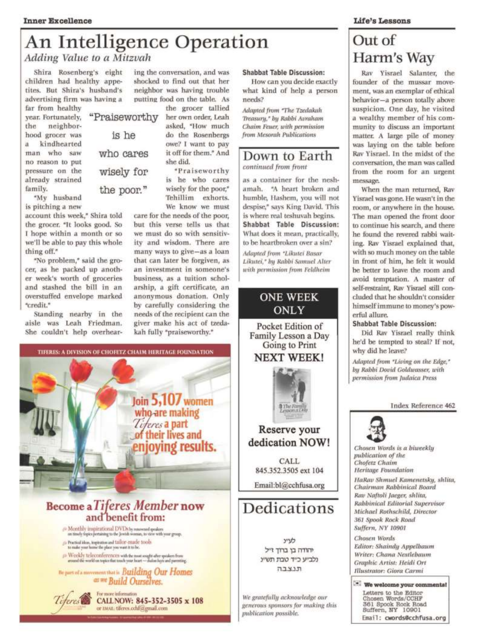#### Life's Lessons

## An Intelligence Operation

Adding Value to a Mitzvah

Shira Rosenberg's eight children had healthy appetites. But Shira's husband's advertising firm was having a

far from healthy year. Fortunately, neighborthe hood grocer was kindhearted ä man who saw no reason to put pressure on the already strained family.

"My husband is pitching a new

account this week," Shira told the grocer. "It looks good. So I hope within a month or so we'll be able to pay this whole thing off."

"No problem," said the grocer, as he packed up another week's worth of groceries and stashed the bill in an overstuffed envelope marked "credit."

Standing nearby in the aisle was Leah Friedman. She couldn't help overhear-

"Praiseworthy is he who cares wisely for the poor."

ing the conversation, and was shocked to find out that her neighbor was having trouble putting food on the table. As the grocer tallied her own order, Leah asked, "How much do the Rosenbergs owe? I want to pay it off for them." And she did. "Praiseworthy

is he who cares wisely for the poor." Tehillim exhorts. We know we must

care for the needs of the poor. but this verse tells us that we must do so with sensitivity and wisdom. There are many ways to give-as a loan that can later be forgiven, as an investment in someone's business, as a tuition scholarship, a gift certificate, an anonymous donation. Only by carefully considering the needs of the recipient can the giver make his act of tzedakah fully "praiseworthy."



#### **Become a Tiferes Member now** and benefit from:

- $\label{eq:1} \bullet \underline{\textbf{M} } \textbf{on} \textbf{thly invariant} \textbf{d} y \textbf{d} \textbf{y} = \textbf{M} \textbf{M} \textbf{d} \textbf{y} \textbf{d} \textbf{y}$  and the state of the state of the state of the state of the state of the state of the state of the state of the state of the state
- $\frac{1}{\sqrt{2}}$ Practical ideas, impiration and tailors-grande toods to make your home the place you want it to be.
- 
- $\label{eq:reco} \begin{tabular}{ll} \hline \textbf{p} & \textbf{Weckly teleconferrects with the most acoglu after problem from} \\ \hline \textbf{a} and \textbf{d} is world on together that touch your heart follow high matrix. \end{tabular}$

Be part of a movement that is Building Our Homes as we Build Ourselves.



#### **Shabbat Table Discussion:**

How can you decide exactly what kind of help a person needs?

Adapted from "The Tzedakah Treasury," by Rabbi Avraham Chaim Feuer, with permission from Mesorah Publications

#### Down to Earth continued from front

as a container for the neshamah. "A heart broken and humble, Hashem, you will not despise," says King David. This is where real teshuvah begins. Shabbat Table Discussion: What does it mean, practically, to be heartbroken over a sin?

Adapted from "Likutei Basar Likutei," by Rabbi Samuel Alter with permission from Feldheim

#### **ONE WEEK ONLY**

Pocket Edition of Family Lesson a Day Going to Print **NEXT WEEK!** 



#### Reserve your dedication NOW!

CALL 845.352.3505 ext 104

Email:bl@cchfusa.org

### Dedications

mth יהודה בן ברוך זיל נלב״ע כ״ד טבת תש״נ תנצבה

We gratefully acknowledge our generous sponsors for making this publication possible.

### Out of Harm's Way

Ray Yisrael Salanter, the founder of the mussar movement, was an exemplar of ethical behavior-a person totally above suspicion. One day, he visited a wealthy member of his community to discuss an important matter. A large pile of money was laying on the table before Rav Yisrael. In the midst of the conversation, the man was called from the room for an urgent message.

When the man returned, Rav Yisrael was gone. He wasn't in the room, or anywhere in the house. The man opened the front door to continue his search, and there he found the revered rabbi waiting. Ray Yisrael explained that, with so much money on the table in front of him, he felt it would be better to leave the room and avoid temptation. A master of self-restraint, Rav Yisrael still concluded that he shouldn't consider himself immune to money's powerful allure.

#### **Shabbat Table Discussion:**

Did Rav Yisrael really think he'd be tempted to steal? If not, why did he leave?

Adapted from "Living on the Edge," by Rabbi Dovid Goldwasser, with permission from Judaica Press





Chosen Words is a biweekly publication of the Chofetz Chaim Heritage Foundation HaRav Shmuel Kamenetsky, shlita, Chairman Rabbinical Board

Rav Naftoli Jacger, shlita, Rabbinical Editorial Supervisor Michael Rothschild, Director 361 Spook Rock Road Suffern, NY 10901

Chosen Words Editor: Shaindy Appelbaum Writer: Chana Nestlebaum Graphic Artist: Heidi Ort Illustrator: Giora Carmi

We welcome your comments! Letters to the Editor Chosen Words/CCHF<br>361 Spook Rock Road Suffern, NY 10901 Email: cwords@cchfusa.org